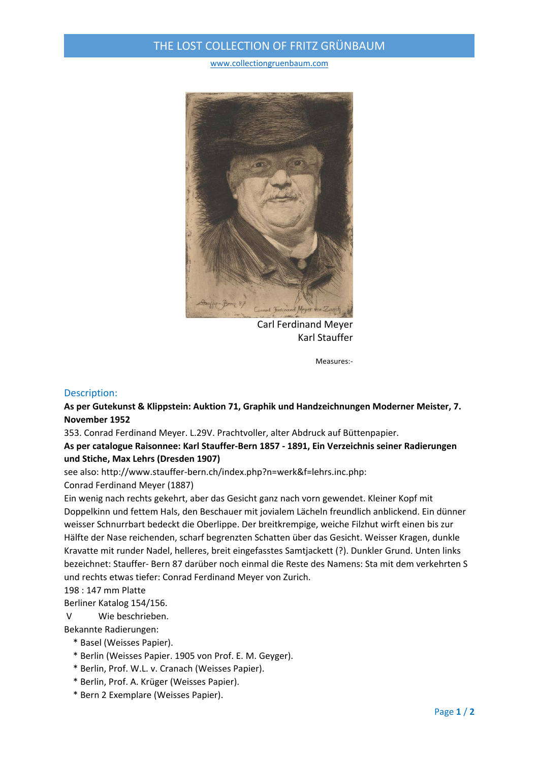## THE LOST COLLECTION OF FRITZ GRÜNBAUM

www.collectiongruenbaum.com



Carl Ferdinand Meyer Karl Stauffer

Measures:‐

### Description:

**As per Gutekunst & Klippstein: Auktion 71, Graphik und Handzeichnungen Moderner Meister, 7. November 1952**

353. Conrad Ferdinand Meyer. L.29V. Prachtvoller, alter Abdruck auf Büttenpapier.

**As per catalogue Raisonnee: Karl Stauffer‐Bern 1857 ‐ 1891, Ein Verzeichnis seiner Radierungen und Stiche, Max Lehrs (Dresden 1907)** 

see also: http://www.stauffer‐bern.ch/index.php?n=werk&f=lehrs.inc.php: Conrad Ferdinand Meyer (1887)

Ein wenig nach rechts gekehrt, aber das Gesicht ganz nach vorn gewendet. Kleiner Kopf mit Doppelkinn und fettem Hals, den Beschauer mit jovialem Lächeln freundlich anblickend. Ein dünner weisser Schnurrbart bedeckt die Oberlippe. Der breitkrempige, weiche Filzhut wirft einen bis zur Hälfte der Nase reichenden, scharf begrenzten Schatten über das Gesicht. Weisser Kragen, dunkle Kravatte mit runder Nadel, helleres, breit eingefasstes Samtjackett (?). Dunkler Grund. Unten links bezeichnet: Stauffer‐ Bern 87 darüber noch einmal die Reste des Namens: Sta mit dem verkehrten S und rechts etwas tiefer: Conrad Ferdinand Meyer von Zurich.

## 198 : 147 mm Platte

Berliner Katalog 154/156.

V Wie beschrieben.

Bekannte Radierungen:

- \* Basel (Weisses Papier).
- \* Berlin (Weisses Papier. 1905 von Prof. E. M. Geyger).
- \* Berlin, Prof. W.L. v. Cranach (Weisses Papier).
- \* Berlin, Prof. A. Krüger (Weisses Papier).
- \* Bern 2 Exemplare (Weisses Papier).